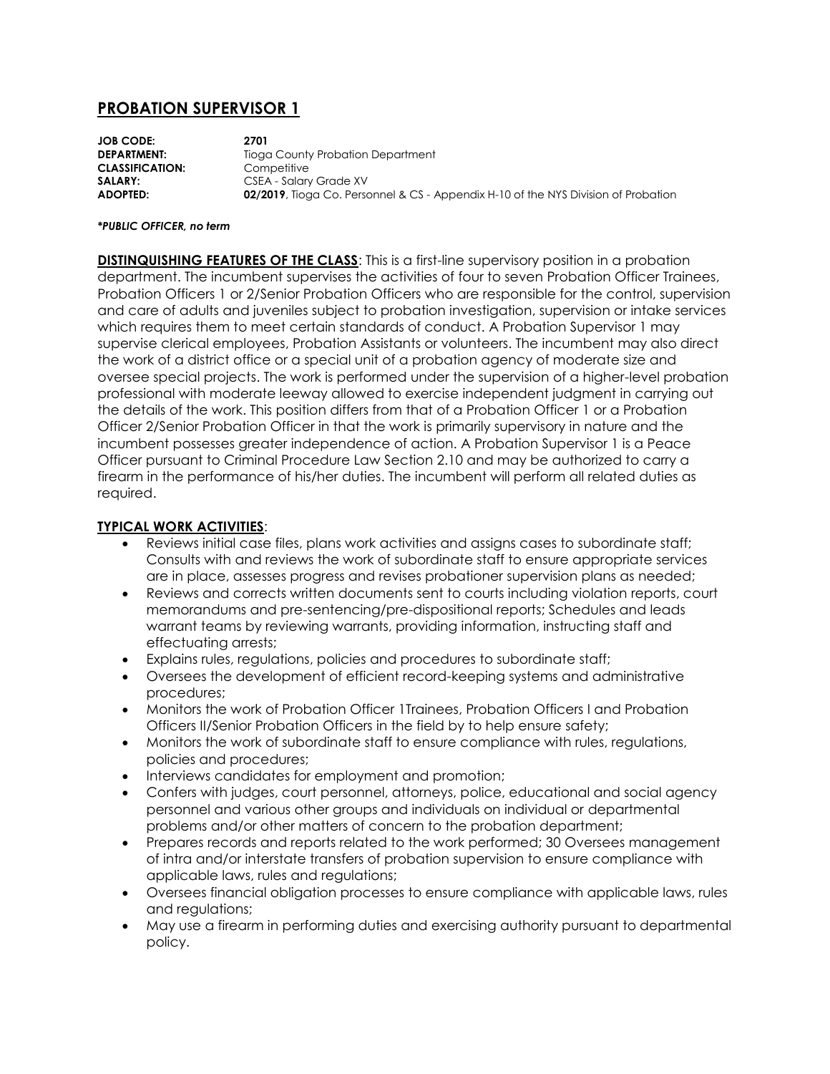# **PROBATION SUPERVISOR 1**

**JOB CODE: 2701 DEPARTMENT:** Tioga County Probation Department **CLASSIFICATION:** Competitive **SALARY:** CSEA - Salary Grade XV **ADOPTED: 02/2019**, Tioga Co. Personnel & CS - Appendix H-10 of the NYS Division of Probation

#### *\*PUBLIC OFFICER, no term*

**DISTINQUISHING FEATURES OF THE CLASS**: This is a first-line supervisory position in a probation department. The incumbent supervises the activities of four to seven Probation Officer Trainees, Probation Officers 1 or 2/Senior Probation Officers who are responsible for the control, supervision and care of adults and juveniles subject to probation investigation, supervision or intake services which requires them to meet certain standards of conduct. A Probation Supervisor 1 may supervise clerical employees, Probation Assistants or volunteers. The incumbent may also direct the work of a district office or a special unit of a probation agency of moderate size and oversee special projects. The work is performed under the supervision of a higher-level probation professional with moderate leeway allowed to exercise independent judgment in carrying out the details of the work. This position differs from that of a Probation Officer 1 or a Probation Officer 2/Senior Probation Officer in that the work is primarily supervisory in nature and the incumbent possesses greater independence of action. A Probation Supervisor 1 is a Peace Officer pursuant to Criminal Procedure Law Section 2.10 and may be authorized to carry a firearm in the performance of his/her duties. The incumbent will perform all related duties as required.

### **TYPICAL WORK ACTIVITIES**:

- Reviews initial case files, plans work activities and assigns cases to subordinate staff; Consults with and reviews the work of subordinate staff to ensure appropriate services are in place, assesses progress and revises probationer supervision plans as needed;
- Reviews and corrects written documents sent to courts including violation reports, court memorandums and pre-sentencing/pre-dispositional reports; Schedules and leads warrant teams by reviewing warrants, providing information, instructing staff and effectuating arrests;
- Explains rules, regulations, policies and procedures to subordinate staff;
- Oversees the development of efficient record-keeping systems and administrative procedures;
- Monitors the work of Probation Officer 1Trainees, Probation Officers I and Probation Officers II/Senior Probation Officers in the field by to help ensure safety;
- Monitors the work of subordinate staff to ensure compliance with rules, regulations, policies and procedures;
- Interviews candidates for employment and promotion;
- Confers with judges, court personnel, attorneys, police, educational and social agency personnel and various other groups and individuals on individual or departmental problems and/or other matters of concern to the probation department;
- Prepares records and reports related to the work performed; 30 Oversees management of intra and/or interstate transfers of probation supervision to ensure compliance with applicable laws, rules and regulations;
- Oversees financial obligation processes to ensure compliance with applicable laws, rules and regulations;
- May use a firearm in performing duties and exercising authority pursuant to departmental policy.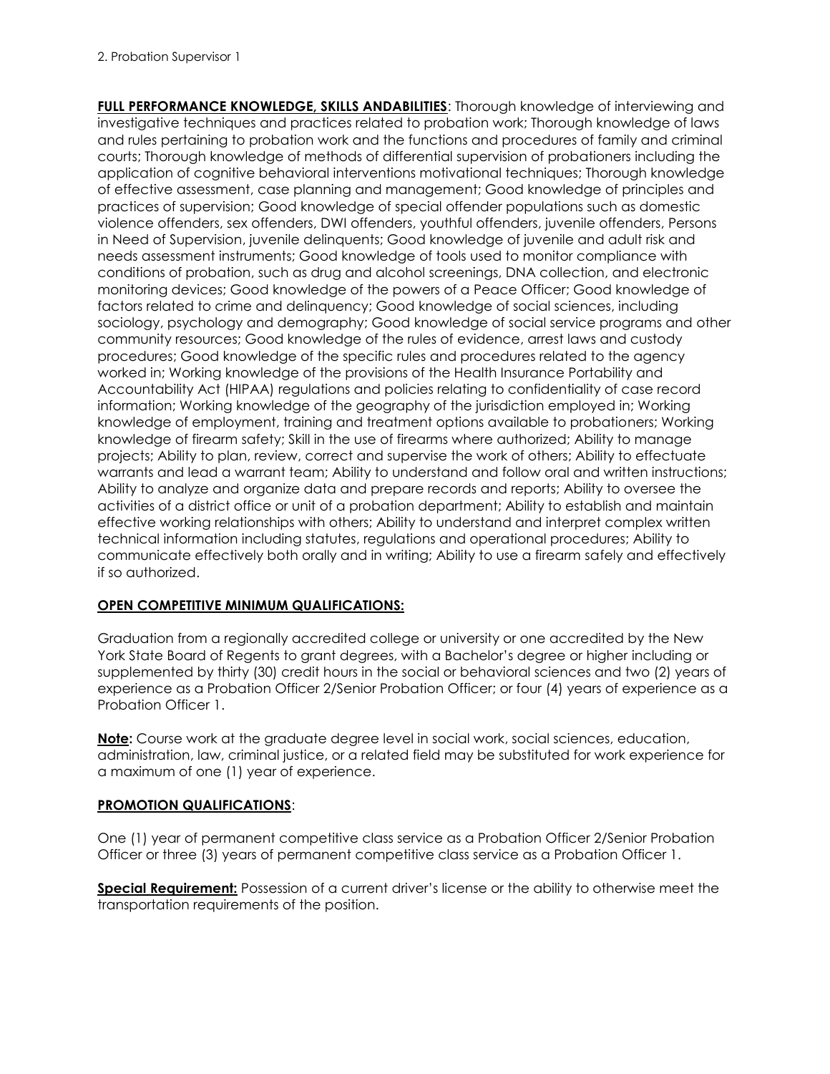**FULL PERFORMANCE KNOWLEDGE, SKILLS ANDABILITIES**: Thorough knowledge of interviewing and investigative techniques and practices related to probation work; Thorough knowledge of laws and rules pertaining to probation work and the functions and procedures of family and criminal courts; Thorough knowledge of methods of differential supervision of probationers including the application of cognitive behavioral interventions motivational techniques; Thorough knowledge of effective assessment, case planning and management; Good knowledge of principles and practices of supervision; Good knowledge of special offender populations such as domestic violence offenders, sex offenders, DWI offenders, youthful offenders, juvenile offenders, Persons in Need of Supervision, juvenile delinquents; Good knowledge of juvenile and adult risk and needs assessment instruments; Good knowledge of tools used to monitor compliance with conditions of probation, such as drug and alcohol screenings, DNA collection, and electronic monitoring devices; Good knowledge of the powers of a Peace Officer; Good knowledge of factors related to crime and delinquency; Good knowledge of social sciences, including sociology, psychology and demography; Good knowledge of social service programs and other community resources; Good knowledge of the rules of evidence, arrest laws and custody procedures; Good knowledge of the specific rules and procedures related to the agency worked in; Working knowledge of the provisions of the Health Insurance Portability and Accountability Act (HIPAA) regulations and policies relating to confidentiality of case record information; Working knowledge of the geography of the jurisdiction employed in; Working knowledge of employment, training and treatment options available to probationers; Working knowledge of firearm safety; Skill in the use of firearms where authorized; Ability to manage projects; Ability to plan, review, correct and supervise the work of others; Ability to effectuate warrants and lead a warrant team; Ability to understand and follow oral and written instructions; Ability to analyze and organize data and prepare records and reports; Ability to oversee the activities of a district office or unit of a probation department; Ability to establish and maintain effective working relationships with others; Ability to understand and interpret complex written technical information including statutes, regulations and operational procedures; Ability to communicate effectively both orally and in writing; Ability to use a firearm safely and effectively if so authorized.

### **OPEN COMPETITIVE MINIMUM QUALIFICATIONS:**

Graduation from a regionally accredited college or university or one accredited by the New York State Board of Regents to grant degrees, with a Bachelor's degree or higher including or supplemented by thirty (30) credit hours in the social or behavioral sciences and two (2) years of experience as a Probation Officer 2/Senior Probation Officer; or four (4) years of experience as a Probation Officer 1.

**Note:** Course work at the graduate degree level in social work, social sciences, education, administration, law, criminal justice, or a related field may be substituted for work experience for a maximum of one (1) year of experience.

## **PROMOTION QUALIFICATIONS**:

One (1) year of permanent competitive class service as a Probation Officer 2/Senior Probation Officer or three (3) years of permanent competitive class service as a Probation Officer 1.

**Special Requirement:** Possession of a current driver's license or the ability to otherwise meet the transportation requirements of the position.